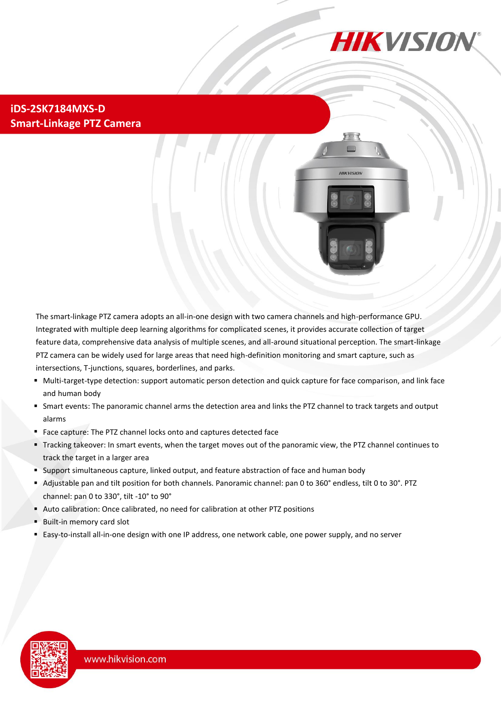

**HIKVISION** 

## **iDS-2SK7184MXS-D Smart-Linkage PTZ Camera**

The smart-linkage PTZ camera adopts an all-in-one design with two camera channels and high-performance GPU. Integrated with multiple deep learning algorithms for complicated scenes, it provides accurate collection of target feature data, comprehensive data analysis of multiple scenes, and all-around situational perception. The smart-linkage PTZ camera can be widely used for large areas that need high-definition monitoring and smart capture, such as intersections, T-junctions, squares, borderlines, and parks.

- Multi-target-type detection: support automatic person detection and quick capture for face comparison, and link face and human body
- Smart events: The panoramic channel arms the detection area and links the PTZ channel to track targets and output alarms
- Face capture: The PTZ channel locks onto and captures detected face
- Tracking takeover: In smart events, when the target moves out of the panoramic view, the PTZ channel continues to track the target in a larger area
- Support simultaneous capture, linked output, and feature abstraction of face and human body
- Adjustable pan and tilt position for both channels. Panoramic channel: pan 0 to 360° endless, tilt 0 to 30°. PTZ channel: pan 0 to 330°, tilt -10° to 90°
- Auto calibration: Once calibrated, no need for calibration at other PTZ positions
- Built-in memory card slot
- Easy-to-install all-in-one design with one IP address, one network cable, one power supply, and no server

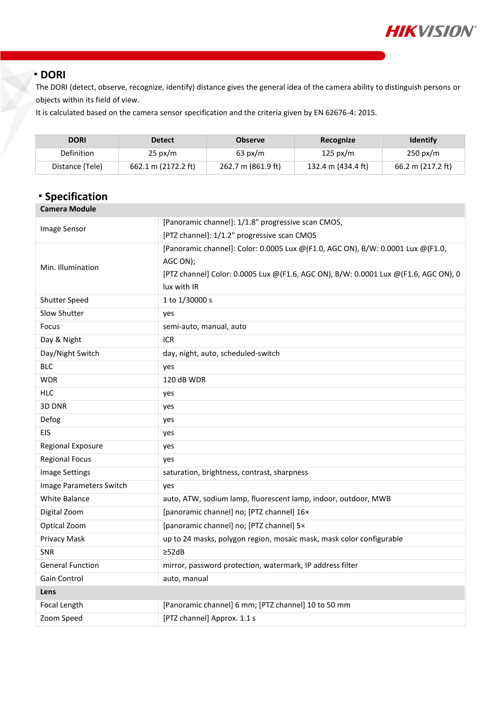

### **DORI**

The DORI (detect, observe, recognize, identify) distance gives the general idea of the camera ability to distinguish persons or objects within its field of view.

It is calculated based on the camera sensor specification and the criteria given by EN 62676-4: 2015.

| <b>DORI</b>     | <b>Detect</b>       | <b>Observe</b>     | Recognize          | <b>Identify</b>    |
|-----------------|---------------------|--------------------|--------------------|--------------------|
| Definition      | $25 \text{ px/m}$   | $63 \text{ px/m}$  | $125 \text{ px/m}$ | $250 \text{ px/m}$ |
| Distance (Tele) | 662.1 m (2172.2 ft) | 262.7 m (861.9 ft) | 132.4 m (434.4 ft) | 66.2 m (217.2 ft)  |

## **Specification**

| <b>Camera Module</b>    |                                                                                     |  |
|-------------------------|-------------------------------------------------------------------------------------|--|
| Image Sensor            | [Panoramic channel]: 1/1.8" progressive scan CMOS,                                  |  |
|                         | [PTZ channel]: 1/1.2" progressive scan CMOS                                         |  |
|                         | [Panoramic channel]: Color: 0.0005 Lux @(F1.0, AGC ON), B/W: 0.0001 Lux @(F1.0,     |  |
| Min. Illumination       | AGC ON);                                                                            |  |
|                         | [PTZ channel] Color: 0.0005 Lux @(F1.6, AGC ON), B/W: 0.0001 Lux @(F1.6, AGC ON), 0 |  |
|                         | lux with IR                                                                         |  |
| <b>Shutter Speed</b>    | 1 to 1/30000 s                                                                      |  |
| Slow Shutter            | yes                                                                                 |  |
| Focus                   | semi-auto, manual, auto                                                             |  |
| Day & Night             | <b>ICR</b>                                                                          |  |
| Day/Night Switch        | day, night, auto, scheduled-switch                                                  |  |
| <b>BLC</b>              | yes                                                                                 |  |
| <b>WDR</b>              | 120 dB WDR                                                                          |  |
| <b>HLC</b>              | yes                                                                                 |  |
| 3D DNR                  | yes                                                                                 |  |
| Defog                   | yes                                                                                 |  |
| EIS                     | yes                                                                                 |  |
| Regional Exposure       | yes                                                                                 |  |
| <b>Regional Focus</b>   | yes                                                                                 |  |
| <b>Image Settings</b>   | saturation, brightness, contrast, sharpness                                         |  |
| Image Parameters Switch | yes                                                                                 |  |
| White Balance           | auto, ATW, sodium lamp, fluorescent lamp, indoor, outdoor, MWB                      |  |
| Digital Zoom            | [panoramic channel] no; [PTZ channel] 16x                                           |  |
| Optical Zoom            | [panoramic channel] no; [PTZ channel] 5x                                            |  |
| Privacy Mask            | up to 24 masks, polygon region, mosaic mask, mask color configurable                |  |
| <b>SNR</b>              | $\geq$ 52dB                                                                         |  |
| <b>General Function</b> | mirror, password protection, watermark, IP address filter                           |  |
| Gain Control            | auto, manual                                                                        |  |
| Lens                    |                                                                                     |  |
| Focal Length            | [Panoramic channel] 6 mm; [PTZ channel] 10 to 50 mm                                 |  |
| Zoom Speed              | [PTZ channel] Approx. 1.1 s                                                         |  |
|                         |                                                                                     |  |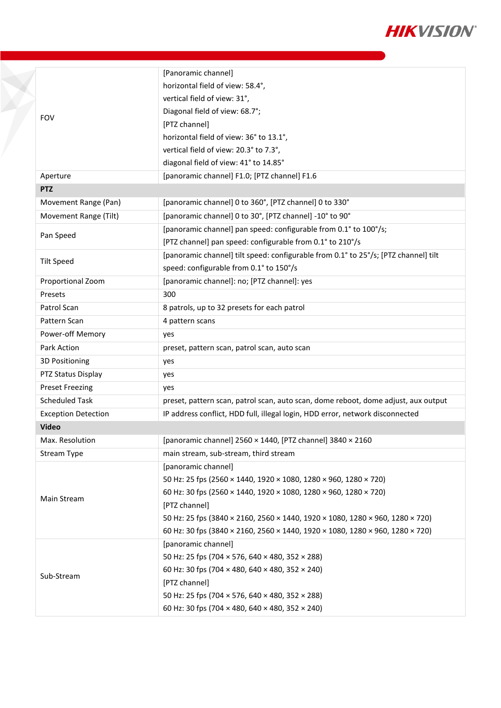

|                            | [Panoramic channel]                                                                 |  |
|----------------------------|-------------------------------------------------------------------------------------|--|
|                            | horizontal field of view: 58.4°,                                                    |  |
|                            | vertical field of view: 31°,                                                        |  |
|                            | Diagonal field of view: 68.7°;                                                      |  |
| <b>FOV</b>                 | [PTZ channel]                                                                       |  |
|                            | horizontal field of view: 36° to 13.1°,                                             |  |
|                            | vertical field of view: 20.3° to 7.3°,                                              |  |
|                            | diagonal field of view: 41° to 14.85°                                               |  |
| Aperture                   | [panoramic channel] F1.0; [PTZ channel] F1.6                                        |  |
| <b>PTZ</b>                 |                                                                                     |  |
| Movement Range (Pan)       | [panoramic channel] 0 to 360°, [PTZ channel] 0 to 330°                              |  |
| Movement Range (Tilt)      | [panoramic channel] 0 to 30°, [PTZ channel] -10° to 90°                             |  |
|                            | [panoramic channel] pan speed: configurable from 0.1° to 100°/s;                    |  |
| Pan Speed                  | [PTZ channel] pan speed: configurable from 0.1° to 210°/s                           |  |
| <b>Tilt Speed</b>          | [panoramic channel] tilt speed: configurable from 0.1° to 25°/s; [PTZ channel] tilt |  |
|                            | speed: configurable from 0.1° to 150°/s                                             |  |
| Proportional Zoom          | [panoramic channel]: no; [PTZ channel]: yes                                         |  |
| Presets                    | 300                                                                                 |  |
| Patrol Scan                | 8 patrols, up to 32 presets for each patrol                                         |  |
| Pattern Scan               | 4 pattern scans                                                                     |  |
| Power-off Memory           | yes                                                                                 |  |
| Park Action                | preset, pattern scan, patrol scan, auto scan                                        |  |
| 3D Positioning             | yes                                                                                 |  |
| PTZ Status Display         | yes                                                                                 |  |
| <b>Preset Freezing</b>     | yes                                                                                 |  |
| <b>Scheduled Task</b>      | preset, pattern scan, patrol scan, auto scan, dome reboot, dome adjust, aux output  |  |
| <b>Exception Detection</b> | IP address conflict, HDD full, illegal login, HDD error, network disconnected       |  |
| <b>Video</b>               |                                                                                     |  |
| Max. Resolution            | [panoramic channel] $2560 \times 1440$ , [PTZ channel] $3840 \times 2160$           |  |
| Stream Type                | main stream, sub-stream, third stream                                               |  |
|                            | [panoramic channel]                                                                 |  |
|                            | 50 Hz: 25 fps (2560 × 1440, 1920 × 1080, 1280 × 960, 1280 × 720)                    |  |
| Main Stream                | 60 Hz: 30 fps (2560 × 1440, 1920 × 1080, 1280 × 960, 1280 × 720)                    |  |
|                            | [PTZ channel]                                                                       |  |
|                            | 50 Hz: 25 fps (3840 × 2160, 2560 × 1440, 1920 × 1080, 1280 × 960, 1280 × 720)       |  |
|                            | 60 Hz: 30 fps (3840 × 2160, 2560 × 1440, 1920 × 1080, 1280 × 960, 1280 × 720)       |  |
|                            | [panoramic channel]                                                                 |  |
|                            | 50 Hz: 25 fps (704 × 576, 640 × 480, 352 × 288)                                     |  |
| Sub-Stream                 | 60 Hz: 30 fps (704 × 480, 640 × 480, 352 × 240)                                     |  |
|                            | [PTZ channel]                                                                       |  |
|                            | 50 Hz: 25 fps (704 × 576, 640 × 480, 352 × 288)                                     |  |
|                            | 60 Hz: 30 fps (704 × 480, 640 × 480, 352 × 240)                                     |  |

F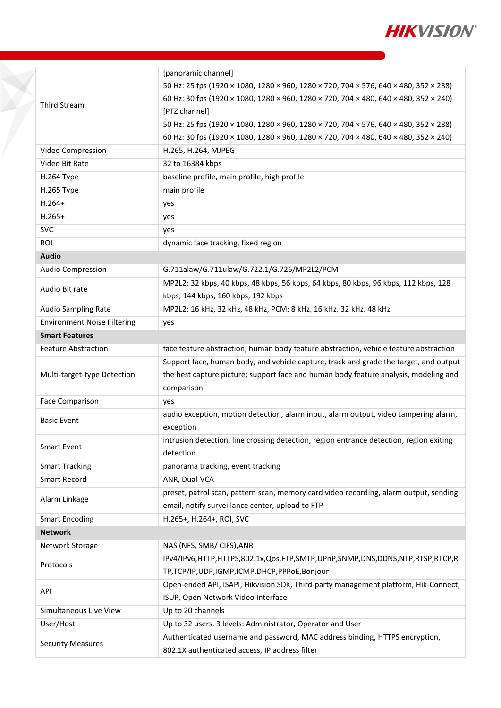

|                                    | [panoramic channel]                                                                     |  |
|------------------------------------|-----------------------------------------------------------------------------------------|--|
|                                    | 50 Hz: 25 fps (1920 × 1080, 1280 × 960, 1280 × 720, 704 × 576, 640 × 480, 352 × 288)    |  |
| <b>Third Stream</b>                | 60 Hz: 30 fps (1920 × 1080, 1280 × 960, 1280 × 720, 704 × 480, 640 × 480, 352 × 240)    |  |
|                                    | [PTZ channel]                                                                           |  |
|                                    | 50 Hz: 25 fps (1920 × 1080, 1280 × 960, 1280 × 720, 704 × 576, 640 × 480, 352 × 288)    |  |
|                                    | 60 Hz: 30 fps (1920 × 1080, 1280 × 960, 1280 × 720, 704 × 480, 640 × 480, 352 × 240)    |  |
| Video Compression                  | H.265, H.264, MJPEG                                                                     |  |
| Video Bit Rate                     | 32 to 16384 kbps                                                                        |  |
| H.264 Type                         | baseline profile, main profile, high profile                                            |  |
| H.265 Type                         | main profile                                                                            |  |
| $H.264+$                           | yes                                                                                     |  |
| $H.265+$                           | yes                                                                                     |  |
| <b>SVC</b>                         | yes                                                                                     |  |
| <b>ROI</b>                         | dynamic face tracking, fixed region                                                     |  |
| <b>Audio</b>                       |                                                                                         |  |
| Audio Compression                  | G.711alaw/G.711ulaw/G.722.1/G.726/MP2L2/PCM                                             |  |
|                                    | MP2L2: 32 kbps, 40 kbps, 48 kbps, 56 kbps, 64 kbps, 80 kbps, 96 kbps, 112 kbps, 128     |  |
| Audio Bit rate                     | kbps, 144 kbps, 160 kbps, 192 kbps                                                      |  |
| <b>Audio Sampling Rate</b>         | MP2L2: 16 kHz, 32 kHz, 48 kHz, PCM: 8 kHz, 16 kHz, 32 kHz, 48 kHz                       |  |
| <b>Environment Noise Filtering</b> | yes                                                                                     |  |
| <b>Smart Features</b>              |                                                                                         |  |
| <b>Feature Abstraction</b>         | face feature abstraction, human body feature abstraction, vehicle feature abstraction   |  |
|                                    | Support face, human body, and vehicle capture, track and grade the target, and output   |  |
| Multi-target-type Detection        | the best capture picture; support face and human body feature analysis, modeling and    |  |
|                                    | comparison                                                                              |  |
| <b>Face Comparison</b>             | yes                                                                                     |  |
| <b>Basic Event</b>                 | audio exception, motion detection, alarm input, alarm output, video tampering alarm,    |  |
|                                    | exception                                                                               |  |
| <b>Smart Event</b>                 | intrusion detection, line crossing detection, region entrance detection, region exiting |  |
|                                    | detection                                                                               |  |
| <b>Smart Tracking</b>              | panorama tracking, event tracking                                                       |  |
| <b>Smart Record</b>                | ANR, Dual-VCA                                                                           |  |
| Alarm Linkage                      | preset, patrol scan, pattern scan, memory card video recording, alarm output, sending   |  |
|                                    | email, notify surveillance center, upload to FTP                                        |  |
| <b>Smart Encoding</b>              | H.265+, H.264+, ROI, SVC                                                                |  |
| <b>Network</b>                     |                                                                                         |  |
| Network Storage                    | NAS (NFS, SMB/ CIFS), ANR                                                               |  |
| Protocols                          | IPv4/IPv6,HTTP,HTTPS,802.1x,Qos,FTP,SMTP,UPnP,SNMP,DNS,DDNS,NTP,RTSP,RTCP,R             |  |
|                                    | TP,TCP/IP,UDP,IGMP,ICMP,DHCP,PPPoE,Bonjour                                              |  |
| API                                | Open-ended API, ISAPI, Hikvision SDK, Third-party management platform, Hik-Connect,     |  |
|                                    | ISUP, Open Network Video Interface                                                      |  |
| Simultaneous Live View             | Up to 20 channels                                                                       |  |
| User/Host                          | Up to 32 users. 3 levels: Administrator, Operator and User                              |  |
| <b>Security Measures</b>           | Authenticated username and password, MAC address binding, HTTPS encryption,             |  |
|                                    | 802.1X authenticated access, IP address filter                                          |  |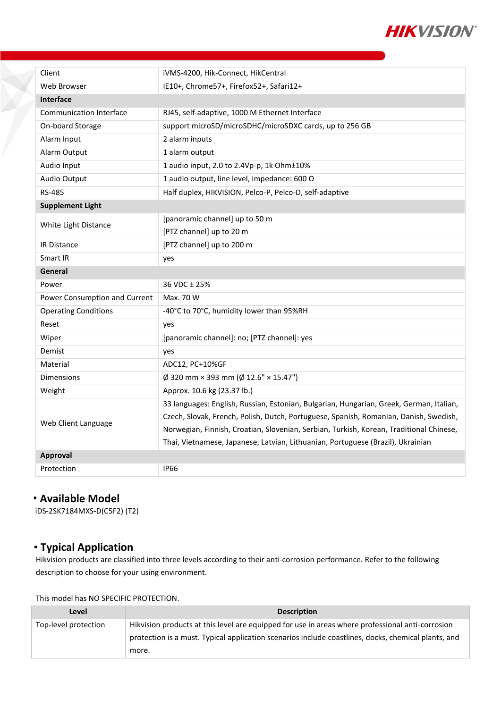

| Client                         | iVMS-4200, Hik-Connect, HikCentral                                                      |  |  |
|--------------------------------|-----------------------------------------------------------------------------------------|--|--|
| Web Browser                    | IE10+, Chrome57+, Firefox52+, Safari12+                                                 |  |  |
| Interface                      |                                                                                         |  |  |
| <b>Communication Interface</b> | RJ45, self-adaptive, 1000 M Ethernet Interface                                          |  |  |
| On-board Storage               | support microSD/microSDHC/microSDXC cards, up to 256 GB                                 |  |  |
| Alarm Input                    | 2 alarm inputs                                                                          |  |  |
| Alarm Output                   | 1 alarm output                                                                          |  |  |
| Audio Input                    | 1 audio input, 2.0 to 2.4Vp-p, 1k Ohm±10%                                               |  |  |
| Audio Output                   | 1 audio output, line level, impedance: 600 $\Omega$                                     |  |  |
| <b>RS-485</b>                  | Half duplex, HIKVISION, Pelco-P, Pelco-D, self-adaptive                                 |  |  |
| <b>Supplement Light</b>        |                                                                                         |  |  |
|                                | [panoramic channel] up to 50 m                                                          |  |  |
| White Light Distance           | [PTZ channel] up to 20 m                                                                |  |  |
| <b>IR Distance</b>             | [PTZ channel] up to 200 m                                                               |  |  |
| <b>Smart IR</b>                | yes                                                                                     |  |  |
| General                        |                                                                                         |  |  |
| Power                          | 36 VDC ± 25%                                                                            |  |  |
| Power Consumption and Current  | Max. 70 W                                                                               |  |  |
| <b>Operating Conditions</b>    | -40°C to 70°C, humidity lower than 95%RH                                                |  |  |
| Reset                          | yes                                                                                     |  |  |
| Wiper                          | [panoramic channel]: no; [PTZ channel]: yes                                             |  |  |
| Demist                         | yes                                                                                     |  |  |
| Material                       | ADC12, PC+10%GF                                                                         |  |  |
| <b>Dimensions</b>              | $\emptyset$ 320 mm × 393 mm ( $\emptyset$ 12.6" × 15.47")                               |  |  |
| Weight                         | Approx. 10.6 kg (23.37 lb.)                                                             |  |  |
|                                | 33 languages: English, Russian, Estonian, Bulgarian, Hungarian, Greek, German, Italian, |  |  |
|                                | Czech, Slovak, French, Polish, Dutch, Portuguese, Spanish, Romanian, Danish, Swedish,   |  |  |
| Web Client Language            | Norwegian, Finnish, Croatian, Slovenian, Serbian, Turkish, Korean, Traditional Chinese, |  |  |
|                                | Thai, Vietnamese, Japanese, Latvian, Lithuanian, Portuguese (Brazil), Ukrainian         |  |  |
| Approval                       |                                                                                         |  |  |
| Protection                     | <b>IP66</b>                                                                             |  |  |

### **Available Model**

iDS-2SK7184MXS-D(C5F2) (T2)

## **Typical Application**

Hikvision products are classified into three levels according to their anti-corrosion performance. Refer to the following description to choose for your using environment.

This model has NO SPECIFIC PROTECTION.

| Level                | <b>Description</b>                                                                                  |
|----------------------|-----------------------------------------------------------------------------------------------------|
| Top-level protection | Hikvision products at this level are equipped for use in areas where professional anti-corrosion    |
|                      | protection is a must. Typical application scenarios include coastlines, docks, chemical plants, and |
|                      | more.                                                                                               |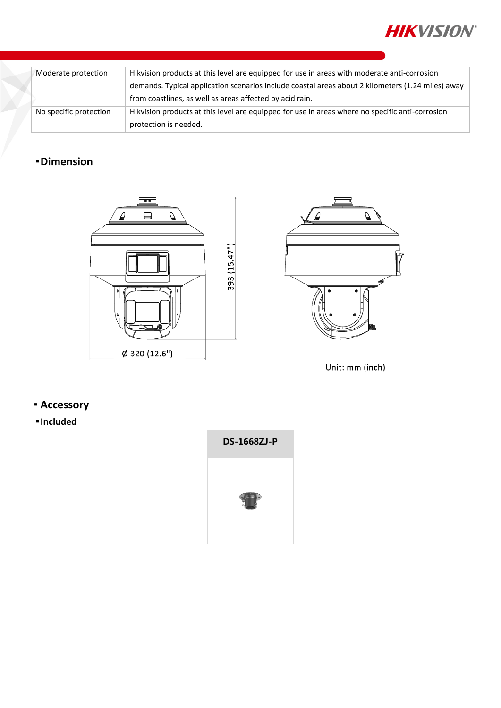

| Moderate protection    | Hikvision products at this level are equipped for use in areas with moderate anti-corrosion       |  |
|------------------------|---------------------------------------------------------------------------------------------------|--|
|                        | demands. Typical application scenarios include coastal areas about 2 kilometers (1.24 miles) away |  |
|                        | from coastlines, as well as areas affected by acid rain.                                          |  |
| No specific protection | Hikvision products at this level are equipped for use in areas where no specific anti-corrosion   |  |
|                        | protection is needed.                                                                             |  |

# **Dimension**





Unit: mm (inch)

**Accessory**

**Included**

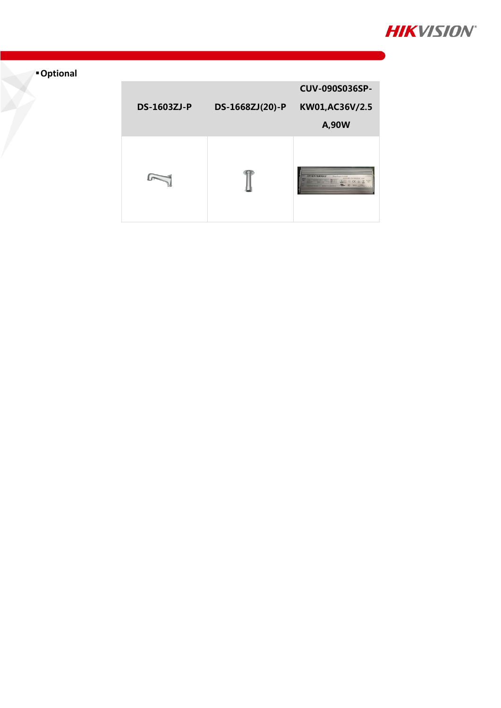

# **Optional**

P

| <b>DS-1603ZJ-P</b> | DS-1668ZJ(20)-P | <b>CUV-090S036SP-</b><br>KW01,AC36V/2.5<br>A,90W |
|--------------------|-----------------|--------------------------------------------------|
|                    |                 | <b>INVENTRONICS</b><br><b>Steamanager</b>        |